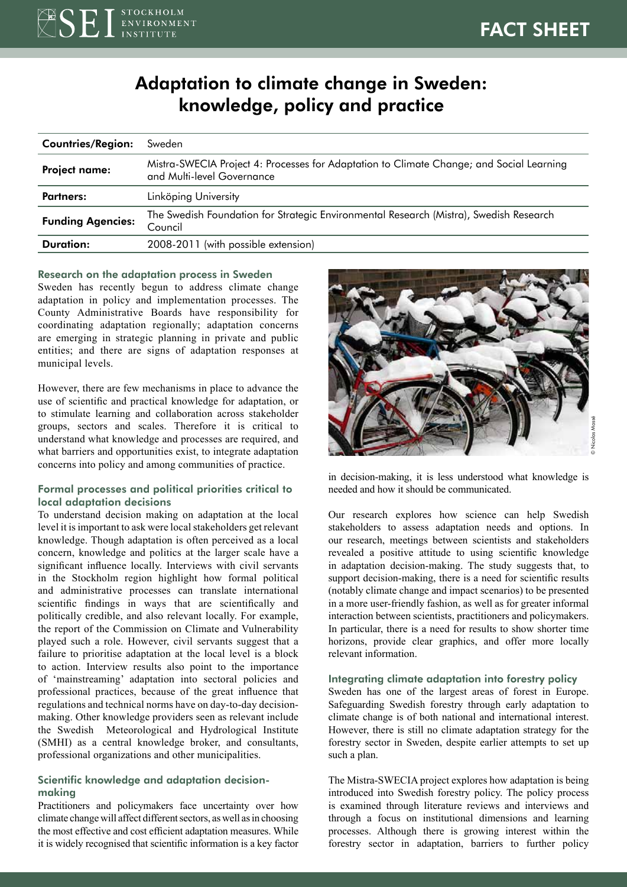# Adaptation to climate change in Sweden: knowledge, policy and practice

| <b>Countries/Region:</b> | Sweden                                                                                                                 |
|--------------------------|------------------------------------------------------------------------------------------------------------------------|
| <b>Project name:</b>     | Mistra-SWECIA Project 4: Processes for Adaptation to Climate Change; and Social Learning<br>and Multi-level Governance |
| Partners:                | Linköping University                                                                                                   |
| <b>Funding Agencies:</b> | The Swedish Foundation for Strategic Environmental Research (Mistra), Swedish Research<br>Council                      |
| Duration:                | 2008-2011 (with possible extension)                                                                                    |

#### Research on the adaptation process in Sweden

Sweden has recently begun to address climate change adaptation in policy and implementation processes. The County Administrative Boards have responsibility for coordinating adaptation regionally; adaptation concerns are emerging in strategic planning in private and public entities; and there are signs of adaptation responses at municipal levels.

However, there are few mechanisms in place to advance the use of scientific and practical knowledge for adaptation, or to stimulate learning and collaboration across stakeholder groups, sectors and scales. Therefore it is critical to understand what knowledge and processes are required, and what barriers and opportunities exist, to integrate adaptation concerns into policy and among communities of practice.

# Formal processes and political priorities critical to local adaptation decisions

To understand decision making on adaptation at the local level it is important to ask were local stakeholders get relevant knowledge. Though adaptation is often perceived as a local concern, knowledge and politics at the larger scale have a significant influence locally. Interviews with civil servants in the Stockholm region highlight how formal political and administrative processes can translate international scientific findings in ways that are scientifically and politically credible, and also relevant locally. For example, the report of the Commission on Climate and Vulnerability played such a role. However, civil servants suggest that a failure to prioritise adaptation at the local level is a block to action. Interview results also point to the importance of 'mainstreaming' adaptation into sectoral policies and professional practices, because of the great influence that regulations and technical norms have on day-to-day decisionmaking. Other knowledge providers seen as relevant include the Swedish Meteorological and Hydrological Institute (SMHI) as a central knowledge broker, and consultants, professional organizations and other municipalities.

## Scientific knowledge and adaptation decisionmaking

Practitioners and policymakers face uncertainty over how climate change will affect different sectors, as well as in choosing the most effective and cost efficient adaptation measures. While it is widely recognised that scientific information is a key factor



in decision-making, it is less understood what knowledge is needed and how it should be communicated.

Our research explores how science can help Swedish stakeholders to assess adaptation needs and options. In our research, meetings between scientists and stakeholders revealed a positive attitude to using scientific knowledge in adaptation decision-making. The study suggests that, to support decision-making, there is a need for scientific results (notably climate change and impact scenarios) to be presented in a more user-friendly fashion, as well as for greater informal interaction between scientists, practitioners and policymakers. In particular, there is a need for results to show shorter time horizons, provide clear graphics, and offer more locally relevant information.

#### Integrating climate adaptation into forestry policy

Sweden has one of the largest areas of forest in Europe. Safeguarding Swedish forestry through early adaptation to climate change is of both national and international interest. However, there is still no climate adaptation strategy for the forestry sector in Sweden, despite earlier attempts to set up such a plan.

The Mistra-SWECIA project explores how adaptation is being introduced into Swedish forestry policy. The policy process is examined through literature reviews and interviews and through a focus on institutional dimensions and learning processes. Although there is growing interest within the forestry sector in adaptation, barriers to further policy